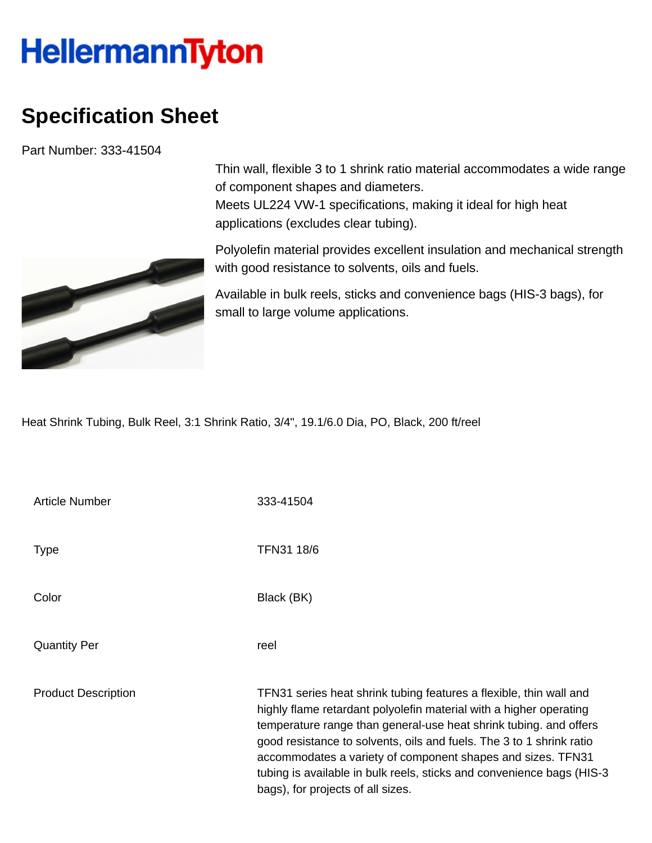## **HellermannTyton**

## **Specification Sheet**

Part Number: 333-41504



Thin wall, flexible 3 to 1 shrink ratio material accommodates a wide range of component shapes and diameters. Meets UL224 VW-1 specifications, making it ideal for high heat applications (excludes clear tubing).

Polyolefin material provides excellent insulation and mechanical strength with good resistance to solvents, oils and fuels.

Available in bulk reels, sticks and convenience bags (HIS-3 bags), for small to large volume applications.

Heat Shrink Tubing, Bulk Reel, 3:1 Shrink Ratio, 3/4", 19.1/6.0 Dia, PO, Black, 200 ft/reel

| <b>Article Number</b>      | 333-41504                                                                                                                                                                                                                                                                                                                                                                                                                                                          |
|----------------------------|--------------------------------------------------------------------------------------------------------------------------------------------------------------------------------------------------------------------------------------------------------------------------------------------------------------------------------------------------------------------------------------------------------------------------------------------------------------------|
| <b>Type</b>                | TFN31 18/6                                                                                                                                                                                                                                                                                                                                                                                                                                                         |
| Color                      | Black (BK)                                                                                                                                                                                                                                                                                                                                                                                                                                                         |
| <b>Quantity Per</b>        | reel                                                                                                                                                                                                                                                                                                                                                                                                                                                               |
| <b>Product Description</b> | TFN31 series heat shrink tubing features a flexible, thin wall and<br>highly flame retardant polyolefin material with a higher operating<br>temperature range than general-use heat shrink tubing. and offers<br>good resistance to solvents, oils and fuels. The 3 to 1 shrink ratio<br>accommodates a variety of component shapes and sizes. TFN31<br>tubing is available in bulk reels, sticks and convenience bags (HIS-3<br>bags), for projects of all sizes. |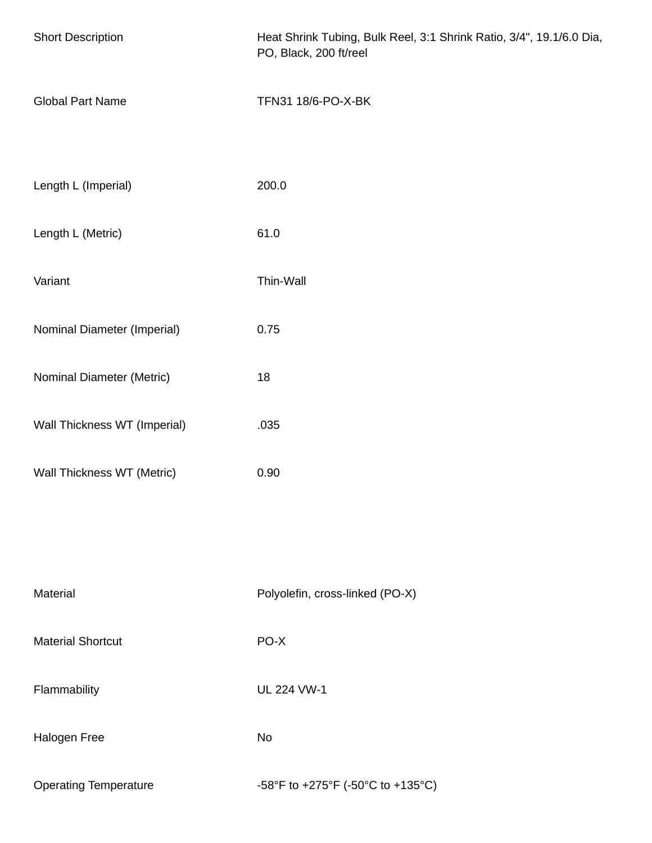| <b>Short Description</b>     | Heat Shrink Tubing, Bulk Reel, 3:1 Shrink Ratio, 3/4", 19.1/6.0 Dia,<br>PO, Black, 200 ft/reel |  |
|------------------------------|------------------------------------------------------------------------------------------------|--|
| <b>Global Part Name</b>      | TFN31 18/6-PO-X-BK                                                                             |  |
| Length L (Imperial)          | 200.0                                                                                          |  |
| Length L (Metric)            | 61.0                                                                                           |  |
| Variant                      | Thin-Wall                                                                                      |  |
| Nominal Diameter (Imperial)  | 0.75                                                                                           |  |
| Nominal Diameter (Metric)    | 18                                                                                             |  |
| Wall Thickness WT (Imperial) | .035                                                                                           |  |
| Wall Thickness WT (Metric)   | 0.90                                                                                           |  |
|                              |                                                                                                |  |
| Material                     | Polyolefin, cross-linked (PO-X)                                                                |  |
| <b>Material Shortcut</b>     | PO-X                                                                                           |  |
| Flammability                 | <b>UL 224 VW-1</b>                                                                             |  |
| Halogen Free                 | No                                                                                             |  |
| <b>Operating Temperature</b> | -58°F to +275°F (-50°C to +135°C)                                                              |  |